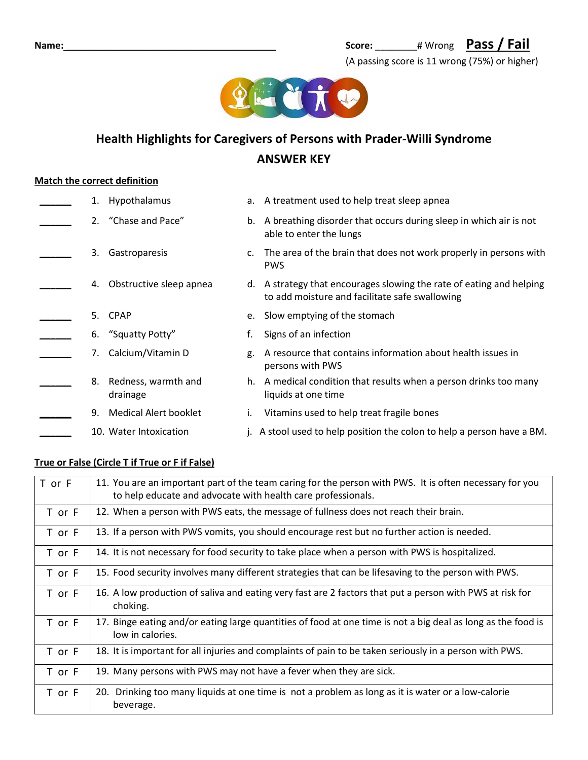

# **Health Highlights for Caregivers of Persons with Prader-Willi Syndrome ANSWER KEY**

## **Match the correct definition**

|    | Hypothalamus                       |    | a. A treatment used to help treat sleep apnea                                                                          |
|----|------------------------------------|----|------------------------------------------------------------------------------------------------------------------------|
|    | 2. "Chase and Pace"                |    | b. A breathing disorder that occurs during sleep in which air is not<br>able to enter the lungs                        |
| 3. | Gastroparesis                      |    | c. The area of the brain that does not work properly in persons with<br><b>PWS</b>                                     |
| 4. | Obstructive sleep apnea            |    | d. A strategy that encourages slowing the rate of eating and helping<br>to add moisture and facilitate safe swallowing |
| 5. | <b>CPAP</b>                        |    | e. Slow emptying of the stomach                                                                                        |
|    | 6. "Squatty Potty"                 | f. | Signs of an infection                                                                                                  |
|    | Calcium/Vitamin D                  | g. | A resource that contains information about health issues in<br>persons with PWS                                        |
|    | 8. Redness, warmth and<br>drainage |    | h. A medical condition that results when a person drinks too many<br>liquids at one time                               |
| 9. | <b>Medical Alert booklet</b>       |    | Vitamins used to help treat fragile bones                                                                              |
|    | 10. Water Intoxication             |    | j. A stool used to help position the colon to help a person have a BM.                                                 |

#### **True or False (Circle T if True or F if False)**

| T or F | 11. You are an important part of the team caring for the person with PWS. It is often necessary for you<br>to help educate and advocate with health care professionals. |
|--------|-------------------------------------------------------------------------------------------------------------------------------------------------------------------------|
| T or F | 12. When a person with PWS eats, the message of fullness does not reach their brain.                                                                                    |
| T or F | 13. If a person with PWS vomits, you should encourage rest but no further action is needed.                                                                             |
| T or F | 14. It is not necessary for food security to take place when a person with PWS is hospitalized.                                                                         |
| T or F | 15. Food security involves many different strategies that can be lifesaving to the person with PWS.                                                                     |
| T or F | 16. A low production of saliva and eating very fast are 2 factors that put a person with PWS at risk for<br>choking.                                                    |
| T or F | 17. Binge eating and/or eating large quantities of food at one time is not a big deal as long as the food is<br>low in calories.                                        |
| T or F | 18. It is important for all injuries and complaints of pain to be taken seriously in a person with PWS.                                                                 |
| T or F | 19. Many persons with PWS may not have a fever when they are sick.                                                                                                      |
| T or F | 20. Drinking too many liquids at one time is not a problem as long as it is water or a low-calorie<br>beverage.                                                         |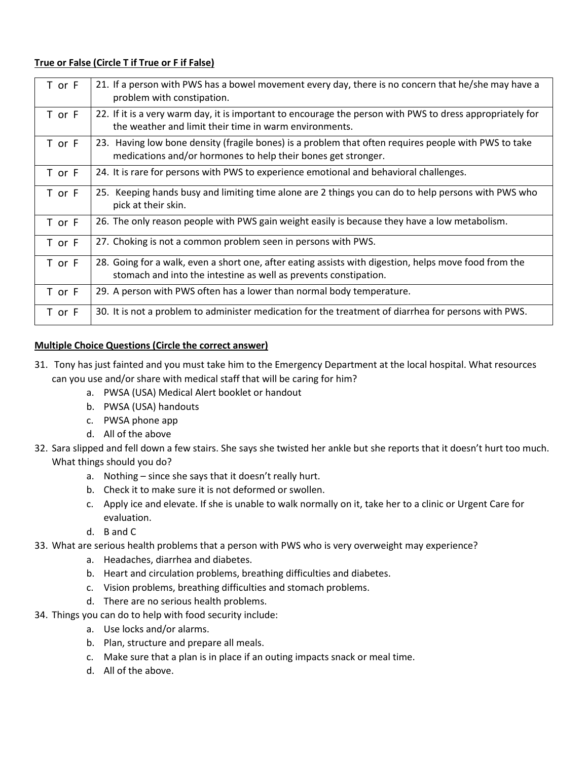### **True or False (Circle T if True or F if False)**

| T or F | 21. If a person with PWS has a bowel movement every day, there is no concern that he/she may have a<br>problem with constipation.                                         |
|--------|---------------------------------------------------------------------------------------------------------------------------------------------------------------------------|
| T or F | 22. If it is a very warm day, it is important to encourage the person with PWS to dress appropriately for<br>the weather and limit their time in warm environments.       |
| T or F | 23. Having low bone density (fragile bones) is a problem that often requires people with PWS to take<br>medications and/or hormones to help their bones get stronger.     |
| T or F | 24. It is rare for persons with PWS to experience emotional and behavioral challenges.                                                                                    |
| T or F | 25. Keeping hands busy and limiting time alone are 2 things you can do to help persons with PWS who<br>pick at their skin.                                                |
| T or F | 26. The only reason people with PWS gain weight easily is because they have a low metabolism.                                                                             |
| T or F | 27. Choking is not a common problem seen in persons with PWS.                                                                                                             |
| T or F | 28. Going for a walk, even a short one, after eating assists with digestion, helps move food from the<br>stomach and into the intestine as well as prevents constipation. |
| T or F | 29. A person with PWS often has a lower than normal body temperature.                                                                                                     |
| T or F | 30. It is not a problem to administer medication for the treatment of diarrhea for persons with PWS.                                                                      |

## **Multiple Choice Questions (Circle the correct answer)**

- 31. Tony has just fainted and you must take him to the Emergency Department at the local hospital. What resources can you use and/or share with medical staff that will be caring for him?
	- a. PWSA (USA) Medical Alert booklet or handout
	- b. PWSA (USA) handouts
	- c. PWSA phone app
	- d. All of the above
- 32. Sara slipped and fell down a few stairs. She says she twisted her ankle but she reports that it doesn't hurt too much. What things should you do?
	- a. Nothing since she says that it doesn't really hurt.
	- b. Check it to make sure it is not deformed or swollen.
	- c. Apply ice and elevate. If she is unable to walk normally on it, take her to a clinic or Urgent Care for evaluation.
	- d. B and C
- 33. What are serious health problems that a person with PWS who is very overweight may experience?
	- a. Headaches, diarrhea and diabetes.
	- b. Heart and circulation problems, breathing difficulties and diabetes.
	- c. Vision problems, breathing difficulties and stomach problems.
	- d. There are no serious health problems.
- 34. Things you can do to help with food security include:
	- a. Use locks and/or alarms.
	- b. Plan, structure and prepare all meals.
	- c. Make sure that a plan is in place if an outing impacts snack or meal time.
	- d. All of the above.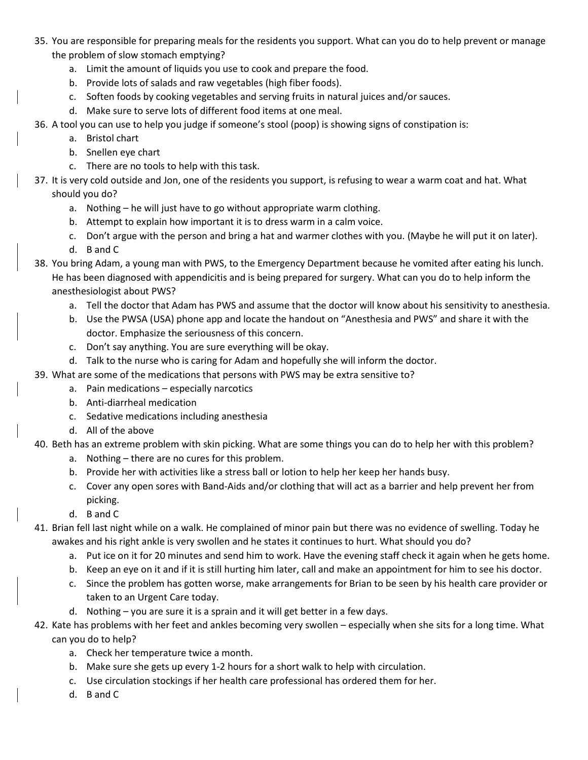- 35. You are responsible for preparing meals for the residents you support. What can you do to help prevent or manage the problem of slow stomach emptying?
	- a. Limit the amount of liquids you use to cook and prepare the food.
	- b. Provide lots of salads and raw vegetables (high fiber foods).
	- c. Soften foods by cooking vegetables and serving fruits in natural juices and/or sauces.
	- d. Make sure to serve lots of different food items at one meal.
- 36. A tool you can use to help you judge if someone's stool (poop) is showing signs of constipation is:
	- a. Bristol chart
	- b. Snellen eye chart
	- c. There are no tools to help with this task.
- 37. It is very cold outside and Jon, one of the residents you support, is refusing to wear a warm coat and hat. What should you do?
	- a. Nothing he will just have to go without appropriate warm clothing.
	- b. Attempt to explain how important it is to dress warm in a calm voice.
	- c. Don't argue with the person and bring a hat and warmer clothes with you. (Maybe he will put it on later).
	- d. B and C
- 38. You bring Adam, a young man with PWS, to the Emergency Department because he vomited after eating his lunch. He has been diagnosed with appendicitis and is being prepared for surgery. What can you do to help inform the anesthesiologist about PWS?
	- a. Tell the doctor that Adam has PWS and assume that the doctor will know about his sensitivity to anesthesia.
	- b. Use the PWSA (USA) phone app and locate the handout on "Anesthesia and PWS" and share it with the doctor. Emphasize the seriousness of this concern.
	- c. Don't say anything. You are sure everything will be okay.
	- d. Talk to the nurse who is caring for Adam and hopefully she will inform the doctor.
- 39. What are some of the medications that persons with PWS may be extra sensitive to?
	- a. Pain medications especially narcotics
	- b. Anti-diarrheal medication
	- c. Sedative medications including anesthesia
	- d. All of the above
- 40. Beth has an extreme problem with skin picking. What are some things you can do to help her with this problem?
	- a. Nothing there are no cures for this problem.
	- b. Provide her with activities like a stress ball or lotion to help her keep her hands busy.
	- c. Cover any open sores with Band-Aids and/or clothing that will act as a barrier and help prevent her from picking.
	- d. B and C
- 41. Brian fell last night while on a walk. He complained of minor pain but there was no evidence of swelling. Today he awakes and his right ankle is very swollen and he states it continues to hurt. What should you do?
	- a. Put ice on it for 20 minutes and send him to work. Have the evening staff check it again when he gets home.
	- b. Keep an eye on it and if it is still hurting him later, call and make an appointment for him to see his doctor.
	- c. Since the problem has gotten worse, make arrangements for Brian to be seen by his health care provider or taken to an Urgent Care today.
	- d. Nothing you are sure it is a sprain and it will get better in a few days.
- 42. Kate has problems with her feet and ankles becoming very swollen especially when she sits for a long time. What can you do to help?
	- a. Check her temperature twice a month.
	- b. Make sure she gets up every 1-2 hours for a short walk to help with circulation.
	- c. Use circulation stockings if her health care professional has ordered them for her.
	- d. B and C